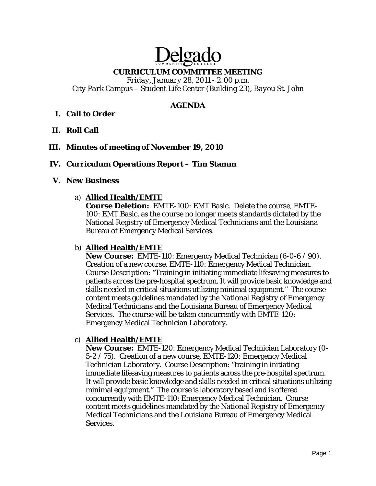# elga **CURRICULUM COMMITTEE MEETING**

*Friday, January 28, 2011 - 2:00 p.m. City Park Campus – Student Life Center (Building 23), Bayou St. John* 

#### **AGENDA**

## **I. Call to Order**

- **II. Roll Call**
- **III. Minutes of meeting of November 19, 2010**

#### **IV. Curriculum Operations Report – Tim Stamm**

#### **V. New Business**

#### a) **Allied Health/EMTE**

**Course Deletion:** EMTE-100: EMT Basic. Delete the course, EMTE-100: EMT Basic, as the course no longer meets standards dictated by the National Registry of Emergency Medical Technicians and the Louisiana Bureau of Emergency Medical Services.

#### b) **Allied Health/EMTE**

**New Course:** EMTE-110: Emergency Medical Technician (6-0-6 / 90). Creation of a new course, EMTE-110: Emergency Medical Technician. Course Description: "Training in initiating immediate lifesaving measures to patients across the pre-hospital spectrum. It will provide basic knowledge and skills needed in critical situations utilizing minimal equipment." The course content meets guidelines mandated by the National Registry of Emergency Medical Technicians and the Louisiana Bureau of Emergency Medical Services. The course will be taken concurrently with EMTE-120: Emergency Medical Technician Laboratory.

#### c) **Allied Health/EMTE**

**New Course:** EMTE-120: Emergency Medical Technician Laboratory (0- 5-2 / 75). Creation of a new course, EMTE-120: Emergency Medical Technician Laboratory. Course Description: "training in initiating immediate lifesaving measures to patients across the pre-hospital spectrum. It will provide basic knowledge and skills needed in critical situations utilizing minimal equipment." The course is laboratory based and is offered concurrently with EMTE-110: Emergency Medical Technician. Course content meets guidelines mandated by the National Registry of Emergency Medical Technicians and the Louisiana Bureau of Emergency Medical Services.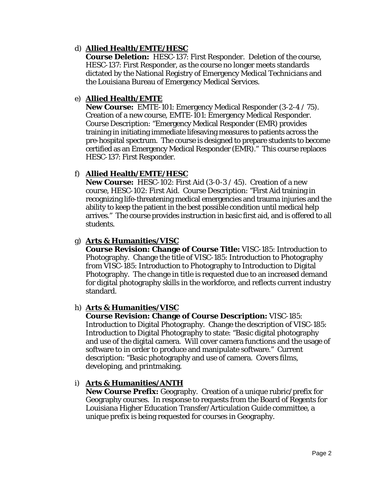## d) **Allied Health/EMTE/HESC**

**Course Deletion:** HESC-137: First Responder. Deletion of the course, HESC-137: First Responder, as the course no longer meets standards dictated by the National Registry of Emergency Medical Technicians and the Louisiana Bureau of Emergency Medical Services.

## e) **Allied Health/EMTE**

**New Course:** EMTE-101: Emergency Medical Responder (3-2-4 / 75). Creation of a new course, EMTE-101: Emergency Medical Responder. Course Description: "Emergency Medical Responder (EMR) provides training in initiating immediate lifesaving measures to patients across the pre-hospital spectrum. The course is designed to prepare students to become certified as an Emergency Medical Responder (EMR)." This course replaces HESC-137: First Responder.

## f) **Allied Health/EMTE/HESC**

**New Course:** HESC-102: First Aid (3-0-3 / 45). Creation of a new course, HESC-102: First Aid. Course Description: "First Aid training in recognizing life-threatening medical emergencies and trauma injuries and the ability to keep the patient in the best possible condition until medical help arrives." The course provides instruction in basic first aid, and is offered to all students.

## g) **Arts & Humanities/VISC**

**Course Revision: Change of Course Title:** VISC-185: Introduction to Photography. Change the title of VISC-185: Introduction to Photography *from* VISC-185: Introduction to Photography *to* Introduction to Digital Photography. The change in title is requested due to an increased demand for digital photography skills in the workforce, and reflects current industry standard.

#### h) **Arts & Humanities/VISC**

**Course Revision: Change of Course Description:** VISC-185: Introduction to Digital Photography. Change the description of VISC-185: Introduction to Digital Photography to state: "Basic digital photography and use of the digital camera. Will cover camera functions and the usage of software to in order to produce and manipulate software." Current description: "Basic photography and use of camera. Covers films, developing, and printmaking.

#### i) **Arts & Humanities/ANTH**

**New Course Prefix:** Geography. Creation of a unique rubric/prefix for Geography courses. In response to requests from the Board of Regents for Louisiana Higher Education Transfer/Articulation Guide committee, a unique prefix is being requested for courses in Geography.